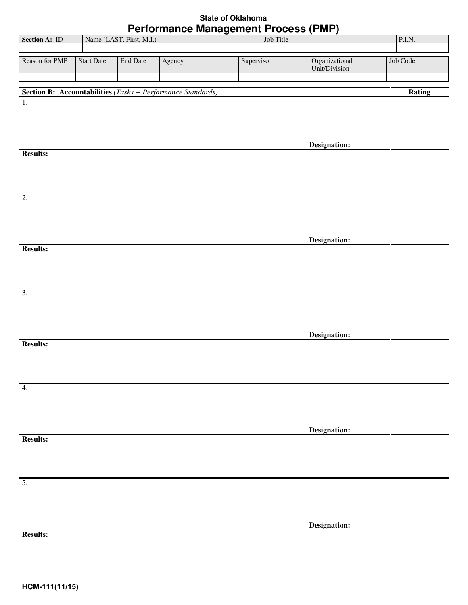## **State of Oklahoma Performance Management Process (PMP)**

| <b>Section A: ID</b> |                   |                          | <b>FULLO INTIGE MANAGEMENT FIULESS (FINIT)</b>                     |            | Job Title |                                 |          |
|----------------------|-------------------|--------------------------|--------------------------------------------------------------------|------------|-----------|---------------------------------|----------|
|                      |                   | Name (LAST, First, M.I.) |                                                                    |            |           |                                 | P.I.N.   |
| Reason for PMP       | <b>Start Date</b> | <b>End Date</b>          | Agency                                                             | Supervisor |           | Organizational<br>Unit/Division | Job Code |
|                      |                   |                          |                                                                    |            |           |                                 |          |
|                      |                   |                          | <b>Section B: Accountabilities</b> (Tasks + Performance Standards) |            |           |                                 | Rating   |
| $\overline{1}$ .     |                   |                          |                                                                    |            |           | Designation:                    |          |
| <b>Results:</b>      |                   |                          |                                                                    |            |           |                                 |          |
| $\overline{2}$ .     |                   |                          |                                                                    |            |           |                                 |          |
| <b>Results:</b>      |                   |                          |                                                                    |            |           | Designation:                    |          |
| $\overline{3}$ .     |                   |                          |                                                                    |            |           | Designation:                    |          |
| <b>Results:</b>      |                   |                          |                                                                    |            |           |                                 |          |
| 4.                   |                   |                          |                                                                    |            |           | Designation:                    |          |
| <b>Results:</b>      |                   |                          |                                                                    |            |           |                                 |          |
| $\overline{5}$ .     |                   |                          |                                                                    |            |           |                                 |          |
| <b>Results:</b>      |                   |                          |                                                                    |            |           | Designation:                    |          |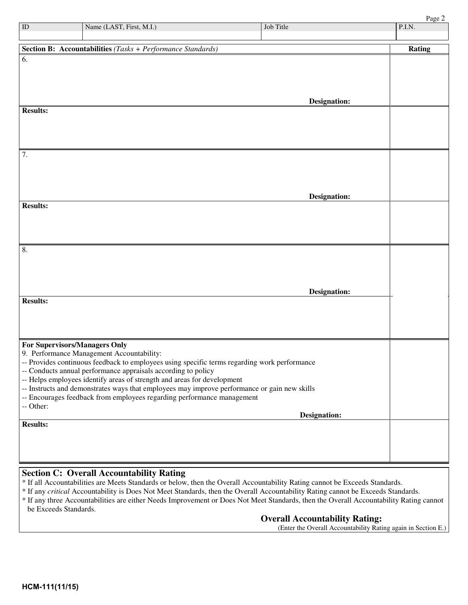Page 2

| ID                            | Name (LAST, First, M.I.)                                                                                                                                                | Job Title           | P.I.N. |
|-------------------------------|-------------------------------------------------------------------------------------------------------------------------------------------------------------------------|---------------------|--------|
|                               |                                                                                                                                                                         |                     |        |
|                               | <b>Section B: Accountabilities</b> (Tasks + Performance Standards)                                                                                                      |                     | Rating |
| 6.                            |                                                                                                                                                                         |                     |        |
|                               |                                                                                                                                                                         |                     |        |
|                               |                                                                                                                                                                         |                     |        |
|                               |                                                                                                                                                                         |                     |        |
|                               |                                                                                                                                                                         | <b>Designation:</b> |        |
| <b>Results:</b>               |                                                                                                                                                                         |                     |        |
|                               |                                                                                                                                                                         |                     |        |
|                               |                                                                                                                                                                         |                     |        |
|                               |                                                                                                                                                                         |                     |        |
| 7.                            |                                                                                                                                                                         |                     |        |
|                               |                                                                                                                                                                         |                     |        |
|                               |                                                                                                                                                                         |                     |        |
|                               |                                                                                                                                                                         | <b>Designation:</b> |        |
| <b>Results:</b>               |                                                                                                                                                                         |                     |        |
|                               |                                                                                                                                                                         |                     |        |
|                               |                                                                                                                                                                         |                     |        |
|                               |                                                                                                                                                                         |                     |        |
| 8.                            |                                                                                                                                                                         |                     |        |
|                               |                                                                                                                                                                         |                     |        |
|                               |                                                                                                                                                                         |                     |        |
|                               |                                                                                                                                                                         |                     |        |
|                               |                                                                                                                                                                         | <b>Designation:</b> |        |
| <b>Results:</b>               |                                                                                                                                                                         |                     |        |
|                               |                                                                                                                                                                         |                     |        |
|                               |                                                                                                                                                                         |                     |        |
| For Supervisors/Managers Only |                                                                                                                                                                         |                     |        |
|                               | 9. Performance Management Accountability:                                                                                                                               |                     |        |
|                               | -- Provides continuous feedback to employees using specific terms regarding work performance                                                                            |                     |        |
|                               | -- Conducts annual performance appraisals according to policy                                                                                                           |                     |        |
|                               | -- Helps employees identify areas of strength and areas for development<br>-- Instructs and demonstrates ways that employees may improve performance or gain new skills |                     |        |
|                               | -- Encourages feedback from employees regarding performance management                                                                                                  |                     |        |
| -- Other:                     |                                                                                                                                                                         |                     |        |
|                               |                                                                                                                                                                         | <b>Designation:</b> |        |
| <b>Results:</b>               |                                                                                                                                                                         |                     |        |
|                               |                                                                                                                                                                         |                     |        |
|                               |                                                                                                                                                                         |                     |        |
|                               |                                                                                                                                                                         |                     |        |

## **Section C: Overall Accountability Rating**

- \* If all Accountabilities are Meets Standards or below, then the Overall Accountability Rating cannot be Exceeds Standards.
- \* If any *critical* Accountability is Does Not Meet Standards, then the Overall Accountability Rating cannot be Exceeds Standards.
- \* If any three Accountabilities are either Needs Improvement or Does Not Meet Standards, then the Overall Accountability Rating cannot be Exceeds Standards.

## **Overall Accountability Rating:**

(Enter the Overall Accountability Rating again in Section E.)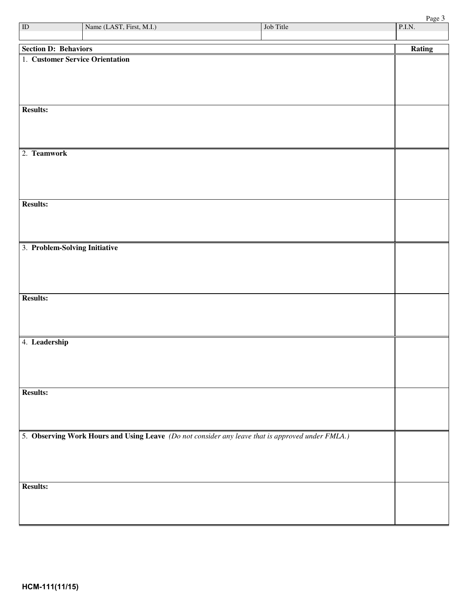| ID                            | Name (LAST, First, M.I.)                                                                         | Job Title | P.I.N. |
|-------------------------------|--------------------------------------------------------------------------------------------------|-----------|--------|
|                               |                                                                                                  |           |        |
| <b>Section D: Behaviors</b>   | 1. Customer Service Orientation                                                                  |           | Rating |
|                               |                                                                                                  |           |        |
|                               |                                                                                                  |           |        |
|                               |                                                                                                  |           |        |
|                               |                                                                                                  |           |        |
| <b>Results:</b>               |                                                                                                  |           |        |
|                               |                                                                                                  |           |        |
|                               |                                                                                                  |           |        |
| 2. Teamwork                   |                                                                                                  |           |        |
|                               |                                                                                                  |           |        |
|                               |                                                                                                  |           |        |
|                               |                                                                                                  |           |        |
| <b>Results:</b>               |                                                                                                  |           |        |
|                               |                                                                                                  |           |        |
|                               |                                                                                                  |           |        |
|                               |                                                                                                  |           |        |
| 3. Problem-Solving Initiative |                                                                                                  |           |        |
|                               |                                                                                                  |           |        |
|                               |                                                                                                  |           |        |
|                               |                                                                                                  |           |        |
| <b>Results:</b>               |                                                                                                  |           |        |
|                               |                                                                                                  |           |        |
|                               |                                                                                                  |           |        |
| 4. Leadership                 |                                                                                                  |           |        |
|                               |                                                                                                  |           |        |
|                               |                                                                                                  |           |        |
|                               |                                                                                                  |           |        |
|                               |                                                                                                  |           |        |
| <b>Results:</b>               |                                                                                                  |           |        |
|                               |                                                                                                  |           |        |
|                               |                                                                                                  |           |        |
|                               | 5. Observing Work Hours and Using Leave (Do not consider any leave that is approved under FMLA.) |           |        |
|                               |                                                                                                  |           |        |
|                               |                                                                                                  |           |        |
|                               |                                                                                                  |           |        |
| <b>Results:</b>               |                                                                                                  |           |        |
|                               |                                                                                                  |           |        |
|                               |                                                                                                  |           |        |
|                               |                                                                                                  |           |        |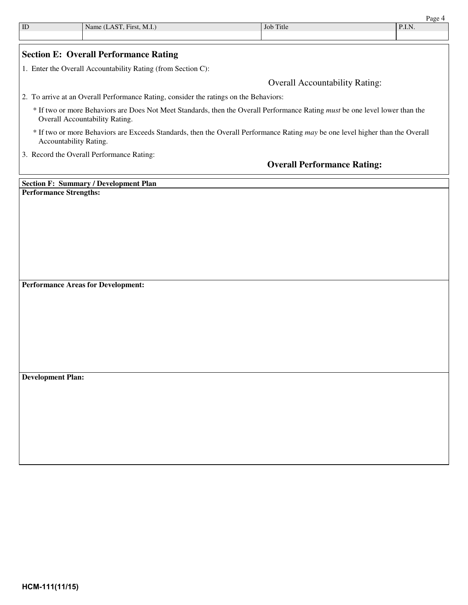| $\mathop{\rm ID}$        | Name (LAST, First, M.I.)                                                                                                                                       | Job Title                             | Page 4<br>P.I.N. |
|--------------------------|----------------------------------------------------------------------------------------------------------------------------------------------------------------|---------------------------------------|------------------|
|                          |                                                                                                                                                                |                                       |                  |
|                          | <b>Section E: Overall Performance Rating</b>                                                                                                                   |                                       |                  |
|                          | 1. Enter the Overall Accountability Rating (from Section C):                                                                                                   |                                       |                  |
|                          |                                                                                                                                                                | <b>Overall Accountability Rating:</b> |                  |
|                          | 2. To arrive at an Overall Performance Rating, consider the ratings on the Behaviors:                                                                          |                                       |                  |
|                          | * If two or more Behaviors are Does Not Meet Standards, then the Overall Performance Rating must be one level lower than the<br>Overall Accountability Rating. |                                       |                  |
|                          | * If two or more Behaviors are Exceeds Standards, then the Overall Performance Rating may be one level higher than the Overall<br>Accountability Rating.       |                                       |                  |
|                          | 3. Record the Overall Performance Rating:                                                                                                                      |                                       |                  |
|                          |                                                                                                                                                                | <b>Overall Performance Rating:</b>    |                  |
|                          | <b>Section F: Summary / Development Plan</b>                                                                                                                   |                                       |                  |
|                          |                                                                                                                                                                |                                       |                  |
|                          | <b>Performance Strengths:</b>                                                                                                                                  |                                       |                  |
|                          |                                                                                                                                                                |                                       |                  |
|                          |                                                                                                                                                                |                                       |                  |
|                          |                                                                                                                                                                |                                       |                  |
|                          |                                                                                                                                                                |                                       |                  |
|                          |                                                                                                                                                                |                                       |                  |
|                          |                                                                                                                                                                |                                       |                  |
|                          |                                                                                                                                                                |                                       |                  |
|                          | <b>Performance Areas for Development:</b>                                                                                                                      |                                       |                  |
|                          |                                                                                                                                                                |                                       |                  |
|                          |                                                                                                                                                                |                                       |                  |
|                          |                                                                                                                                                                |                                       |                  |
|                          |                                                                                                                                                                |                                       |                  |
|                          |                                                                                                                                                                |                                       |                  |
|                          |                                                                                                                                                                |                                       |                  |
|                          |                                                                                                                                                                |                                       |                  |
|                          |                                                                                                                                                                |                                       |                  |
|                          |                                                                                                                                                                |                                       |                  |
| <b>Development Plan:</b> |                                                                                                                                                                |                                       |                  |
|                          |                                                                                                                                                                |                                       |                  |